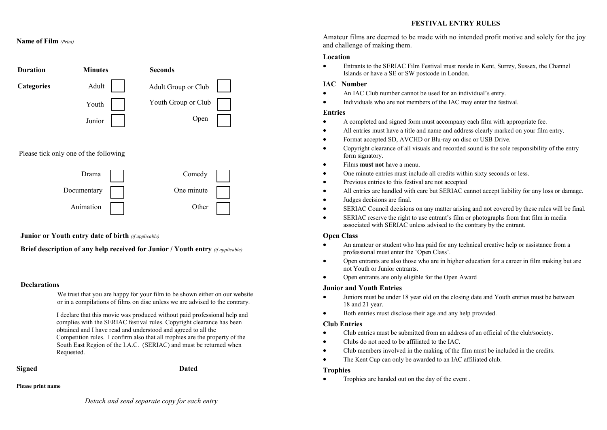#### **FESTIVAL ENTRY RULES**

#### **Name of Film** *(Print)*



**Junior or Youth entry date of birth** *(if applicable)*

**Brief description of any help received for Junior / Youth entry** *(if applicable)*

#### **Declarations**

We trust that you are happy for your film to be shown either on our website or in a compilations of films on disc unless we are advised to the contrary.

 I declare that this movie was produced without paid professional help and complies with the SERIAC festival rules. Copyright clearance has been obtained and I have read and understood and agreed to all the Competition rules. I confirm also that all trophies are the property of the South East Region of the I.A.C. (SERIAC) and must be returned when Requested.

**Signed** Dated

 **Please print name**

Amateur films are deemed to be made with no intended profit motive and solely for the joy and challenge of making them.

#### **Location**

 Entrants to the SERIAC Film Festival must reside in Kent, Surrey, Sussex, the Channel Islands or have a SE or SW postcode in London.

#### **IAC Number**

- An IAC Club number cannot be used for an individual's entry.
- Individuals who are not members of the IAC may enter the festival.

#### **Entries**

- A completed and signed form must accompany each film with appropriate fee.
- All entries must have a title and name and address clearly marked on your film entry.
- Format accepted SD, AVCHD or Blu-ray on disc or USB Drive.
- Copyright clearance of all visuals and recorded sound is the sole responsibility of the entry form signatory.
- Films **must not** have a menu.
- One minute entries must include all credits within sixty seconds or less.
- Previous entries to this festival are not accepted
- All entries are handled with care but SERIAC cannot accept liability for any loss or damage.
- Judges decisions are final.
- SERIAC Council decisions on any matter arising and not covered by these rules will be final.
- SERIAC reserve the right to use entrant's film or photographs from that film in media associated with SERIAC unless advised to the contrary by the entrant.

#### **Open Class**

- An amateur or student who has paid for any technical creative help or assistance from a professional must enter the 'Open Class'.
- Open entrants are also those who are in higher education for a career in film making but are not Youth or Junior entrants.
- Open entrants are only eligible for the Open Award

#### **Junior and Youth Entries**

- Juniors must be under 18 year old on the closing date and Youth entries must be between 18 and 21 year.
- Both entries must disclose their age and any help provided.

#### **Club Entries**

- Club entries must be submitted from an address of an official of the club/society.
- Clubs do not need to be affiliated to the IAC.
- Club members involved in the making of the film must be included in the credits.
- The Kent Cup can only be awarded to an IAC affiliated club.

#### **Trophies**

Trophies are handed out on the day of the event .